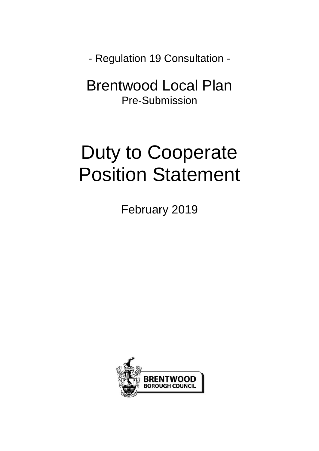- Regulation 19 Consultation -

Brentwood Local Plan Pre-Submission

# Duty to Cooperate Position Statement

February 2019

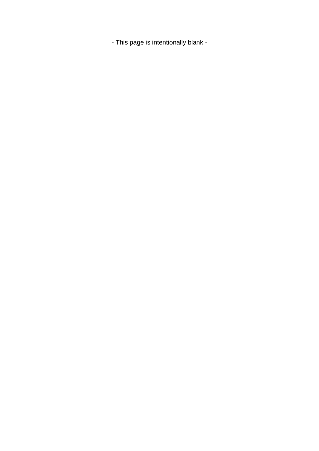- This page is intentionally blank -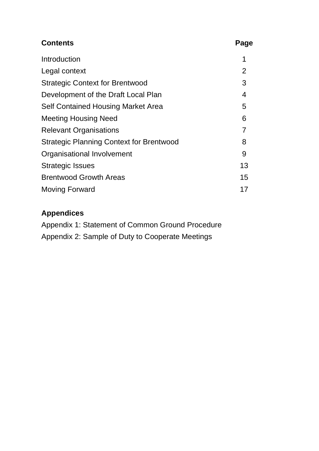# **Contents Page**

| Introduction                                    |    |
|-------------------------------------------------|----|
| Legal context                                   | 2  |
| <b>Strategic Context for Brentwood</b>          | 3  |
| Development of the Draft Local Plan             | 4  |
| <b>Self Contained Housing Market Area</b>       | 5  |
| <b>Meeting Housing Need</b>                     | 6  |
| <b>Relevant Organisations</b>                   |    |
| <b>Strategic Planning Context for Brentwood</b> | 8  |
| Organisational Involvement                      | 9  |
| <b>Strategic Issues</b>                         | 13 |
| <b>Brentwood Growth Areas</b>                   | 15 |
| <b>Moving Forward</b>                           | 17 |

# **Appendices**

Appendix 1: Statement of Common Ground Procedure Appendix 2: Sample of Duty to Cooperate Meetings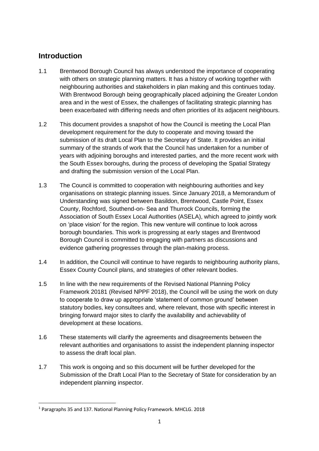# **Introduction**

- 1.1 Brentwood Borough Council has always understood the importance of cooperating with others on strategic planning matters. It has a history of working together with neighbouring authorities and stakeholders in plan making and this continues today. With Brentwood Borough being geographically placed adjoining the Greater London area and in the west of Essex, the challenges of facilitating strategic planning has been exacerbated with differing needs and often priorities of its adjacent neighbours.
- 1.2 This document provides a snapshot of how the Council is meeting the Local Plan development requirement for the duty to cooperate and moving toward the submission of its draft Local Plan to the Secretary of State. It provides an initial summary of the strands of work that the Council has undertaken for a number of years with adjoining boroughs and interested parties, and the more recent work with the South Essex boroughs, during the process of developing the Spatial Strategy and drafting the submission version of the Local Plan.
- 1.3 The Council is committed to cooperation with neighbouring authorities and key organisations on strategic planning issues. Since January 2018, a Memorandum of Understanding was signed between Basildon, Brentwood, Castle Point, Essex County, Rochford, Southend-on- Sea and Thurrock Councils, forming the Association of South Essex Local Authorities (ASELA), which agreed to jointly work on 'place vision' for the region. This new venture will continue to look across borough boundaries. This work is progressing at early stages and Brentwood Borough Council is committed to engaging with partners as discussions and evidence gathering progresses through the plan-making process.
- 1.4 In addition, the Council will continue to have regards to neighbouring authority plans, Essex County Council plans, and strategies of other relevant bodies.
- 1.5 In line with the new requirements of the Revised National Planning Policy Framework 20181 (Revised NPPF 2018), the Council will be using the work on duty to cooperate to draw up appropriate 'statement of common ground' between statutory bodies, key consultees and, where relevant, those with specific interest in bringing forward major sites to clarify the availability and achievability of development at these locations.
- 1.6 These statements will clarify the agreements and disagreements between the relevant authorities and organisations to assist the independent planning inspector to assess the draft local plan.
- 1.7 This work is ongoing and so this document will be further developed for the Submission of the Draft Local Plan to the Secretary of State for consideration by an independent planning inspector.

-

<sup>1</sup> Paragraphs 35 and 137. National Planning Policy Framework. MHCLG. 2018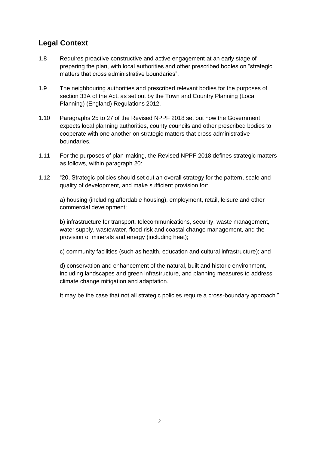# **Legal Context**

- 1.8 Requires proactive constructive and active engagement at an early stage of preparing the plan, with local authorities and other prescribed bodies on "strategic matters that cross administrative boundaries".
- 1.9 The neighbouring authorities and prescribed relevant bodies for the purposes of section 33A of the Act, as set out by the Town and Country Planning (Local Planning) (England) Regulations 2012.
- 1.10 Paragraphs 25 to 27 of the Revised NPPF 2018 set out how the Government expects local planning authorities, county councils and other prescribed bodies to cooperate with one another on strategic matters that cross administrative boundaries.
- 1.11 For the purposes of plan-making, the Revised NPPF 2018 defines strategic matters as follows, within paragraph 20:
- 1.12 "20. Strategic policies should set out an overall strategy for the pattern, scale and quality of development, and make sufficient provision for:

a) housing (including affordable housing), employment, retail, leisure and other commercial development;

b) infrastructure for transport, telecommunications, security, waste management, water supply, wastewater, flood risk and coastal change management, and the provision of minerals and energy (including heat);

c) community facilities (such as health, education and cultural infrastructure); and

d) conservation and enhancement of the natural, built and historic environment, including landscapes and green infrastructure, and planning measures to address climate change mitigation and adaptation.

It may be the case that not all strategic policies require a cross-boundary approach."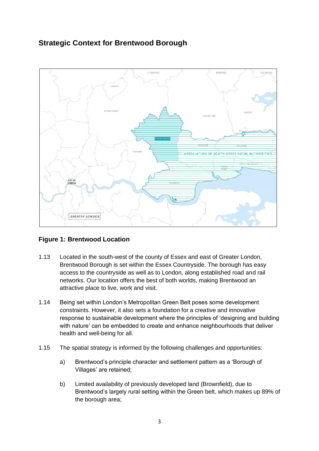# **Strategic Context for Brentwood Borough**



#### **Figure 1: Brentwood Location**

- 1.13 Located in the south-west of the county of Essex and east of Greater London, Brentwood Borough is set within the Essex Countryside. The borough has easy access to the countryside as well as to London, along established road and rail networks. Our location offers the best of both worlds, making Brentwood an attractive place to live, work and visit.
- 1.14 Being set within London's Metropolitan Green Belt poses some development constraints. However, it also sets a foundation for a creative and innovative response to sustainable development where the principles of 'designing and building with nature' can be embedded to create and enhance neighbourhoods that deliver health and well-being for all.
- 1.15 The spatial strategy is informed by the following challenges and opportunities:
	- a) Brentwood's principle character and settlement pattern as a 'Borough of Villages' are retained;
	- b) Limited availability of previously developed land (Brownfield), due to Brentwood's largely rural setting within the Green belt, which makes up 89% of the borough area;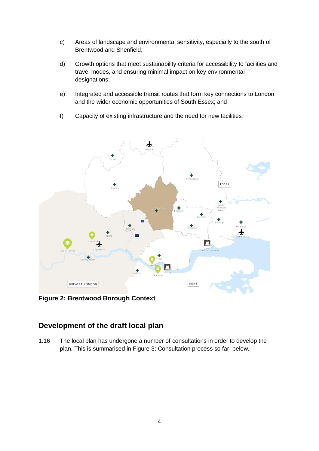- c) Areas of landscape and environmental sensitivity, especially to the south of Brentwood and Shenfield;
- d) Growth options that meet sustainability criteria for accessibility to facilities and travel modes, and ensuring minimal impact on key environmental designations:
- e) Integrated and accessible transit routes that form key connections to London and the wider economic opportunities of South Essex; and
- f) Capacity of existing infrastructure and the need for new facilities.



**Figure 2: Brentwood Borough Context**

# **Development of the draft local plan**

1.16 The local plan has undergone a number of consultations in order to develop the plan. This is summarised in Figure 3: Consultation process so far, below.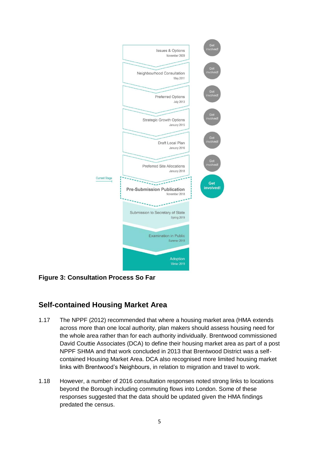

**Figure 3: Consultation Process So Far**

# **Self-contained Housing Market Area**

- 1.17 The NPPF (2012) recommended that where a housing market area (HMA extends across more than one local authority, plan makers should assess housing need for the whole area rather than for each authority individually. Brentwood commissioned David Couttie Associates (DCA) to define their housing market area as part of a post NPPF SHMA and that work concluded in 2013 that Brentwood District was a selfcontained Housing Market Area. DCA also recognised more limited housing market links with Brentwood's Neighbours, in relation to migration and travel to work.
- 1.18 However, a number of 2016 consultation responses noted strong links to locations beyond the Borough including commuting flows into London. Some of these responses suggested that the data should be updated given the HMA findings predated the census.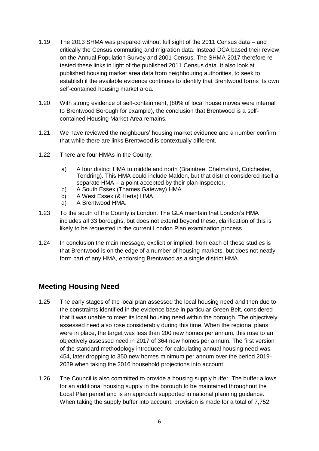- 1.19 The 2013 SHMA was prepared without full sight of the 2011 Census data and critically the Census commuting and migration data. Instead DCA based their review on the Annual Population Survey and 2001 Census. The SHMA 2017 therefore retested these links in light of the published 2011 Census data. It also look at published housing market area data from neighbouring authorities, to seek to establish if the available evidence continues to identify that Brentwood forms its own self-contained housing market area.
- 1.20 With strong evidence of self-containment, (80% of local house moves were internal to Brentwood Borough for example), the conclusion that Brentwood is a selfcontained Housing Market Area remains.
- 1.21 We have reviewed the neighbours' housing market evidence and a number confirm that while there are links Brentwood is contextually different.
- 1.22 There are four HMAs in the County:
	- a) A four district HMA to middle and north (Braintree, Chelmsford, Colchester, Tendring). This HMA could include Maldon, but that district considered itself a separate HMA – a point accepted by their plan Inspector.
	- b) A South Essex (Thames Gateway) HMA
	- c) A West Essex (& Herts) HMA.
	- d) A Brentwood HMA.
- 1.23 To the south of the County is London. The GLA maintain that London's HMA includes all 33 boroughs, but does not extend beyond these, clarification of this is likely to be requested in the current London Plan examination process.
- 1.24 In conclusion the main message, explicit or implied, from each of these studies is that Brentwood is on the edge of a number of housing markets, but does not neatly form part of any HMA, endorsing Brentwood as a single district HMA.

# **Meeting Housing Need**

- 1.25 The early stages of the local plan assessed the local housing need and then due to the constraints identified in the evidence base in particular Green Belt, considered that it was unable to meet its local housing need within the borough. The objectively assessed need also rose considerably during this time. When the regional plans were in place, the target was less than 200 new homes per annum, this rose to an objectively assessed need in 2017 of 364 new homes per annum. The first version of the standard methodology introduced for calculating annual housing need was 454, later dropping to 350 new homes minimum per annum over the period 2019- 2029 when taking the 2016 household projections into account.
- 1.26 The Council is also committed to provide a housing supply buffer. The buffer allows for an additional housing supply in the borough to be maintained throughout the Local Plan period and is an approach supported in national planning guidance. When taking the supply buffer into account, provision is made for a total of 7,752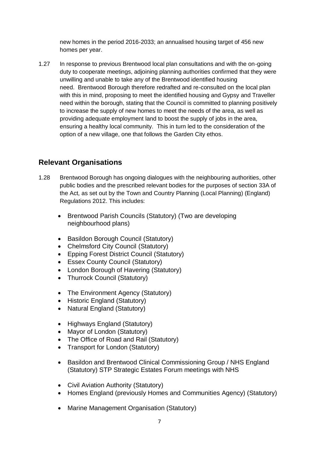new homes in the period 2016-2033; an annualised housing target of 456 new homes per year.

1.27 In response to previous Brentwood local plan consultations and with the on-going duty to cooperate meetings, adjoining planning authorities confirmed that they were unwilling and unable to take any of the Brentwood identified housing need. Brentwood Borough therefore redrafted and re-consulted on the local plan with this in mind, proposing to meet the identified housing and Gypsy and Traveller need within the borough, stating that the Council is committed to planning positively to increase the supply of new homes to meet the needs of the area, as well as providing adequate employment land to boost the supply of jobs in the area, ensuring a healthy local community. This in turn led to the consideration of the option of a new village, one that follows the Garden City ethos.

# **Relevant Organisations**

- 1.28 Brentwood Borough has ongoing dialogues with the neighbouring authorities, other public bodies and the prescribed relevant bodies for the purposes of section 33A of the Act, as set out by the Town and Country Planning (Local Planning) (England) Regulations 2012. This includes:
	- Brentwood Parish Councils (Statutory) (Two are developing neighbourhood plans)
	- Basildon Borough Council (Statutory)
	- Chelmsford City Council (Statutory)
	- Epping Forest District Council (Statutory)
	- Essex County Council (Statutory)
	- London Borough of Havering (Statutory)
	- Thurrock Council (Statutory)
	- The Environment Agency (Statutory)
	- Historic England (Statutory)
	- Natural England (Statutory)
	- Highways England (Statutory)
	- Mayor of London (Statutory)
	- The Office of Road and Rail (Statutory)
	- Transport for London (Statutory)
	- Basildon and Brentwood Clinical Commissioning Group / NHS England (Statutory) STP Strategic Estates Forum meetings with NHS
	- Civil Aviation Authority (Statutory)
	- Homes England (previously Homes and Communities Agency) (Statutory)
	- Marine Management Organisation (Statutory)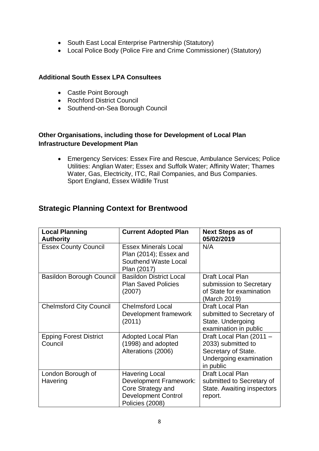- South East Local Enterprise Partnership (Statutory)
- Local Police Body (Police Fire and Crime Commissioner) (Statutory)

#### **Additional South Essex LPA Consultees**

- Castle Point Borough
- Rochford District Council
- Southend-on-Sea Borough Council

### **Other Organisations, including those for Development of Local Plan Infrastructure Development Plan**

• Emergency Services: Essex Fire and Rescue, Ambulance Services; Police Utilities: Anglian Water; Essex and Suffolk Water; Affinity Water; Thames Water, Gas, Electricity, ITC, Rail Companies, and Bus Companies. Sport England, Essex Wildlife Trust

| <b>Local Planning</b><br><b>Authority</b> | <b>Current Adopted Plan</b>                                                                                                  | <b>Next Steps as of</b><br>05/02/2019                                                                        |
|-------------------------------------------|------------------------------------------------------------------------------------------------------------------------------|--------------------------------------------------------------------------------------------------------------|
| <b>Essex County Council</b>               | <b>Essex Minerals Local</b><br>Plan (2014); Essex and<br>Southend Waste Local<br>Plan (2017)                                 | N/A                                                                                                          |
| <b>Basildon Borough Council</b>           | <b>Basildon District Local</b><br><b>Plan Saved Policies</b><br>(2007)                                                       | <b>Draft Local Plan</b><br>submission to Secretary<br>of State for examination<br>(March 2019)               |
| <b>Chelmsford City Council</b>            | <b>Chelmsford Local</b><br>Development framework<br>(2011)                                                                   | <b>Draft Local Plan</b><br>submitted to Secretary of<br>State. Undergoing<br>examination in public           |
| <b>Epping Forest District</b><br>Council  | <b>Adopted Local Plan</b><br>(1998) and adopted<br>Alterations (2006)                                                        | Draft Local Plan (2011 -<br>2033) submitted to<br>Secretary of State.<br>Undergoing examination<br>in public |
| London Borough of<br>Havering             | <b>Havering Local</b><br><b>Development Framework:</b><br>Core Strategy and<br><b>Development Control</b><br>Policies (2008) | <b>Draft Local Plan</b><br>submitted to Secretary of<br>State. Awaiting inspectors<br>report.                |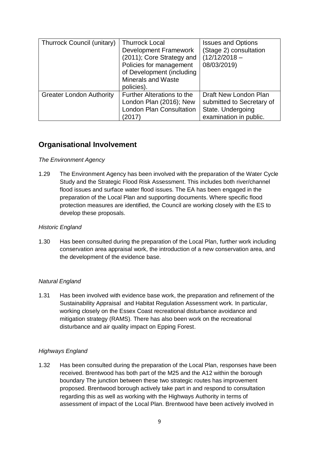| Thurrock Council (unitary)      | <b>Thurrock Local</b><br><b>Development Framework</b><br>(2011); Core Strategy and<br>Policies for management<br>of Development (including<br><b>Minerals and Waste</b><br>policies). | <b>Issues and Options</b><br>(Stage 2) consultation<br>$(12/12/2018 -$<br>08/03/2019)             |
|---------------------------------|---------------------------------------------------------------------------------------------------------------------------------------------------------------------------------------|---------------------------------------------------------------------------------------------------|
| <b>Greater London Authority</b> | Further Alterations to the<br>London Plan (2016); New<br><b>London Plan Consultation</b><br>(2017)                                                                                    | Draft New London Plan<br>submitted to Secretary of<br>State. Undergoing<br>examination in public. |

# **Organisational Involvement**

#### *The Environment Agency*

1.29 The Environment Agency has been involved with the preparation of the Water Cycle Study and the Strategic Flood Risk Assessment. This includes both river/channel flood issues and surface water flood issues. The EA has been engaged in the preparation of the Local Plan and supporting documents. Where specific flood protection measures are identified, the Council are working closely with the ES to develop these proposals.

#### *Historic England*

1.30 Has been consulted during the preparation of the Local Plan, further work including conservation area appraisal work, the introduction of a new conservation area, and the development of the evidence base.

#### *Natural England*

1.31 Has been involved with evidence base work, the preparation and refinement of the Sustainability Appraisal and Habitat Regulation Assessment work. In particular, working closely on the Essex Coast recreational disturbance avoidance and mitigation strategy (RAMS). There has also been work on the recreational disturbance and air quality impact on Epping Forest.

#### *Highways England*

1.32 Has been consulted during the preparation of the Local Plan, responses have been received. Brentwood has both part of the M25 and the A12 within the borough boundary The junction between these two strategic routes has improvement proposed. Brentwood borough actively take part in and respond to consultation regarding this as well as working with the Highways Authority in terms of assessment of impact of the Local Plan. Brentwood have been actively involved in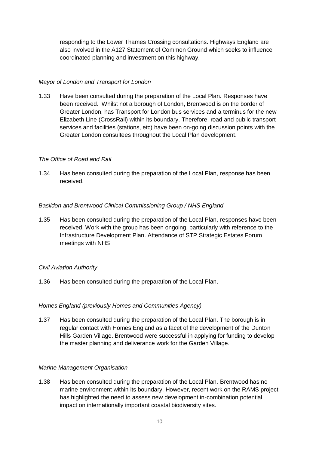responding to the Lower Thames Crossing consultations. Highways England are also involved in the A127 Statement of Common Ground which seeks to influence coordinated planning and investment on this highway.

#### *Mayor of London and Transport for London*

1.33 Have been consulted during the preparation of the Local Plan. Responses have been received. Whilst not a borough of London, Brentwood is on the border of Greater London, has Transport for London bus services and a terminus for the new Elizabeth Line (CrossRail) within its boundary. Therefore, road and public transport services and facilities (stations, etc) have been on-going discussion points with the Greater London consultees throughout the Local Plan development.

#### *The Office of Road and Rail*

1.34 Has been consulted during the preparation of the Local Plan, response has been received.

#### *Basildon and Brentwood Clinical Commissioning Group / NHS England*

1.35 Has been consulted during the preparation of the Local Plan, responses have been received. Work with the group has been ongoing, particularly with reference to the Infrastructure Development Plan. Attendance of STP Strategic Estates Forum meetings with NHS

#### *Civil Aviation Authority*

1.36 Has been consulted during the preparation of the Local Plan.

#### *Homes England (previously Homes and Communities Agency)*

1.37 Has been consulted during the preparation of the Local Plan. The borough is in regular contact with Homes England as a facet of the development of the Dunton Hills Garden Village. Brentwood were successful in applying for funding to develop the master planning and deliverance work for the Garden Village.

#### *Marine Management Organisation*

1.38 Has been consulted during the preparation of the Local Plan. Brentwood has no marine environment within its boundary. However, recent work on the RAMS project has highlighted the need to assess new development in-combination potential impact on internationally important coastal biodiversity sites.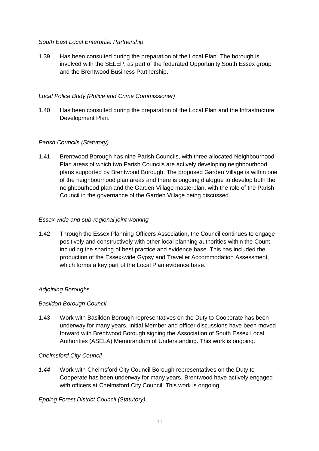#### *South East Local Enterprise Partnership*

1.39 Has been consulted during the preparation of the Local Plan. The borough is involved with the SELEP, as part of the federated Opportunity South Essex group and the Brentwood Business Partnership.

#### *Local Police Body (Police and Crime Commissioner)*

1.40 Has been consulted during the preparation of the Local Plan and the Infrastructure Development Plan.

#### *Parish Councils (Statutory)*

1.41 Brentwood Borough has nine Parish Councils, with three allocated Neighbourhood Plan areas of which two Parish Councils are actively developing neighbourhood plans supported by Brentwood Borough. The proposed Garden Village is within one of the neighbourhood plan areas and there is ongoing dialogue to develop both the neighbourhood plan and the Garden Village masterplan, with the role of the Parish Council in the governance of the Garden Village being discussed.

#### *Essex-wide and sub-regional joint working*

1.42 Through the Essex Planning Officers Association, the Council continues to engage positively and constructively with other local planning authorities within the Count, including the sharing of best practice and evidence base. This has included the production of the Essex-wide Gypsy and Traveller Accommodation Assessment, which forms a key part of the Local Plan evidence base.

#### *Adjoining Boroughs*

#### *Basildon Borough Council*

1.43 Work with Basildon Borough representatives on the Duty to Cooperate has been underway for many years. Initial Member and officer discussions have been moved forward with Brentwood Borough signing the Association of South Essex Local Authorities (ASELA) Memorandum of Understanding. This work is ongoing.

#### *Chelmsford City Council*

*1.44* Work with Chelmsford City Council Borough representatives on the Duty to Cooperate has been underway for many years. Brentwood have actively engaged with officers at Chelmsford City Council. This work is ongoing.

#### *Epping Forest District Council (Statutory)*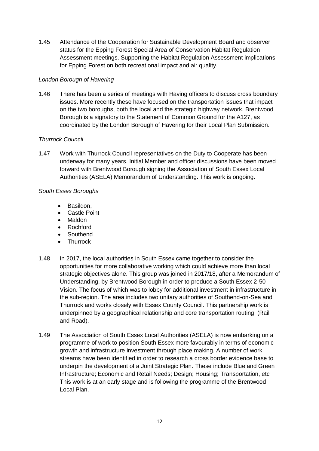1.45 Attendance of the Cooperation for Sustainable Development Board and observer status for the Epping Forest Special Area of Conservation Habitat Regulation Assessment meetings. Supporting the Habitat Regulation Assessment implications for Epping Forest on both recreational impact and air quality.

#### *London Borough of Havering*

1.46 There has been a series of meetings with Having officers to discuss cross boundary issues. More recently these have focused on the transportation issues that impact on the two boroughs, both the local and the strategic highway network. Brentwood Borough is a signatory to the Statement of Common Ground for the A127, as coordinated by the London Borough of Havering for their Local Plan Submission.

#### *Thurrock Council*

1.47 Work with Thurrock Council representatives on the Duty to Cooperate has been underway for many years. Initial Member and officer discussions have been moved forward with Brentwood Borough signing the Association of South Essex Local Authorities (ASELA) Memorandum of Understanding. This work is ongoing.

#### *South Essex Boroughs*

- Basildon,
- Castle Point
- Maldon
- Rochford
- **Southend**
- Thurrock
- 1.48 In 2017, the local authorities in South Essex came together to consider the opportunities for more collaborative working which could achieve more than local strategic objectives alone. This group was joined in 2017/18, after a Memorandum of Understanding, by Brentwood Borough in order to produce a South Essex 2-50 Vision. The focus of which was to lobby for additional investment in infrastructure in the sub-region. The area includes two unitary authorities of Southend-on-Sea and Thurrock and works closely with Essex County Council. This partnership work is underpinned by a geographical relationship and core transportation routing. (Rail and Road).
- 1.49 The Association of South Essex Local Authorities (ASELA) is now embarking on a programme of work to position South Essex more favourably in terms of economic growth and infrastructure investment through place making. A number of work streams have been identified in order to research a cross border evidence base to underpin the development of a Joint Strategic Plan. These include Blue and Green Infrastructure; Economic and Retail Needs; Design; Housing; Transportation, etc This work is at an early stage and is following the programme of the Brentwood Local Plan.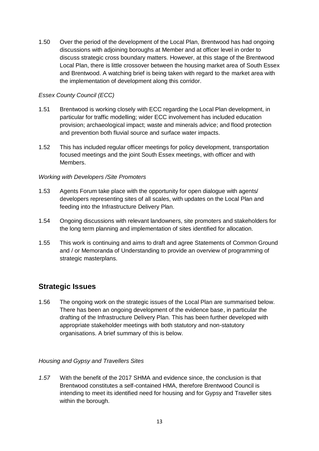1.50 Over the period of the development of the Local Plan, Brentwood has had ongoing discussions with adjoining boroughs at Member and at officer level in order to discuss strategic cross boundary matters. However, at this stage of the Brentwood Local Plan, there is little crossover between the housing market area of South Essex and Brentwood. A watching brief is being taken with regard to the market area with the implementation of development along this corridor.

#### *Essex County Council (ECC)*

- 1.51 Brentwood is working closely with ECC regarding the Local Plan development, in particular for traffic modelling; wider ECC involvement has included education provision; archaeological impact; waste and minerals advice; and flood protection and prevention both fluvial source and surface water impacts.
- 1.52 This has included regular officer meetings for policy development, transportation focused meetings and the joint South Essex meetings, with officer and with Members.

#### *Working with Developers /Site Promoters*

- 1.53 Agents Forum take place with the opportunity for open dialogue with agents/ developers representing sites of all scales, with updates on the Local Plan and feeding into the Infrastructure Delivery Plan.
- 1.54 Ongoing discussions with relevant landowners, site promoters and stakeholders for the long term planning and implementation of sites identified for allocation.
- 1.55 This work is continuing and aims to draft and agree Statements of Common Ground and / or Memoranda of Understanding to provide an overview of programming of strategic masterplans.

# **Strategic Issues**

1.56 The ongoing work on the strategic issues of the Local Plan are summarised below. There has been an ongoing development of the evidence base, in particular the drafting of the Infrastructure Delivery Plan. This has been further developed with appropriate stakeholder meetings with both statutory and non-statutory organisations. A brief summary of this is below.

#### *Housing and Gypsy and Travellers Sites*

*1.57* With the benefit of the 2017 SHMA and evidence since, the conclusion is that Brentwood constitutes a self-contained HMA, therefore Brentwood Council is intending to meet its identified need for housing and for Gypsy and Traveller sites within the borough.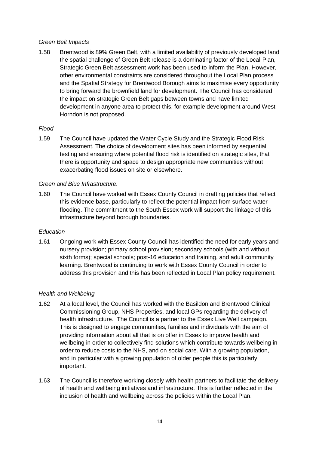#### *Green Belt Impacts*

1.58 Brentwood is 89% Green Belt, with a limited availability of previously developed land the spatial challenge of Green Belt release is a dominating factor of the Local Plan, Strategic Green Belt assessment work has been used to inform the Plan. However, other environmental constraints are considered throughout the Local Plan process and the Spatial Strategy for Brentwood Borough aims to maximise every opportunity to bring forward the brownfield land for development. The Council has considered the impact on strategic Green Belt gaps between towns and have limited development in anyone area to protect this, for example development around West Horndon is not proposed.

#### *Flood*

1.59 The Council have updated the Water Cycle Study and the Strategic Flood Risk Assessment. The choice of development sites has been informed by sequential testing and ensuring where potential flood risk is identified on strategic sites, that there is opportunity and space to design appropriate new communities without exacerbating flood issues on site or elsewhere.

#### *Green and Blue Infrastructure.*

1.60 The Council have worked with Essex County Council in drafting policies that reflect this evidence base, particularly to reflect the potential impact from surface water flooding. The commitment to the South Essex work will support the linkage of this infrastructure beyond borough boundaries.

#### *Education*

1.61 Ongoing work with Essex County Council has identified the need for early years and nursery provision; primary school provision; secondary schools (with and without sixth forms); special schools; post-16 education and training, and adult community learning. Brentwood is continuing to work with Essex County Council in order to address this provision and this has been reflected in Local Plan policy requirement.

#### *Health and Wellbeing*

- 1.62 At a local level, the Council has worked with the Basildon and Brentwood Clinical Commissioning Group, NHS Properties, and local GPs regarding the delivery of health infrastructure. The Council is a partner to the Essex Live Well campaign. This is designed to engage communities, families and individuals with the aim of providing information about all that is on offer in Essex to improve health and wellbeing in order to collectively find solutions which contribute towards wellbeing in order to reduce costs to the NHS, and on social care. With a growing population, and in particular with a growing population of older people this is particularly important.
- 1.63 The Council is therefore working closely with health partners to facilitate the delivery of health and wellbeing initiatives and infrastructure. This is further reflected in the inclusion of health and wellbeing across the policies within the Local Plan.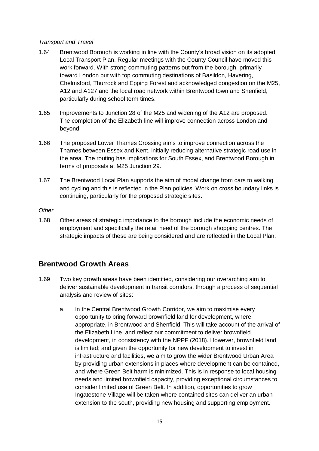#### *Transport and Travel*

- 1.64 Brentwood Borough is working in line with the County's broad vision on its adopted Local Transport Plan. Regular meetings with the County Council have moved this work forward. With strong commuting patterns out from the borough, primarily toward London but with top commuting destinations of Basildon, Havering, Chelmsford, Thurrock and Epping Forest and acknowledged congestion on the M25, A12 and A127 and the local road network within Brentwood town and Shenfield, particularly during school term times.
- 1.65 Improvements to Junction 28 of the M25 and widening of the A12 are proposed. The completion of the Elizabeth line will improve connection across London and beyond.
- 1.66 The proposed Lower Thames Crossing aims to improve connection across the Thames between Essex and Kent, initially reducing alternative strategic road use in the area. The routing has implications for South Essex, and Brentwood Borough in terms of proposals at M25 Junction 29.
- 1.67 The Brentwood Local Plan supports the aim of modal change from cars to walking and cycling and this is reflected in the Plan policies. Work on cross boundary links is continuing, particularly for the proposed strategic sites.

#### *Other*

1.68 Other areas of strategic importance to the borough include the economic needs of employment and specifically the retail need of the borough shopping centres. The strategic impacts of these are being considered and are reflected in the Local Plan.

# **Brentwood Growth Areas**

- 1.69 Two key growth areas have been identified, considering our overarching aim to deliver sustainable development in transit corridors, through a process of sequential analysis and review of sites:
	- a. In the Central Brentwood Growth Corridor, we aim to maximise every opportunity to bring forward brownfield land for development, where appropriate, in Brentwood and Shenfield. This will take account of the arrival of the Elizabeth Line, and reflect our commitment to deliver brownfield development, in consistency with the NPPF (2018). However, brownfield land is limited; and given the opportunity for new development to invest in infrastructure and facilities, we aim to grow the wider Brentwood Urban Area by providing urban extensions in places where development can be contained, and where Green Belt harm is minimized. This is in response to local housing needs and limited brownfield capacity, providing exceptional circumstances to consider limited use of Green Belt. In addition, opportunities to grow Ingatestone Village will be taken where contained sites can deliver an urban extension to the south, providing new housing and supporting employment.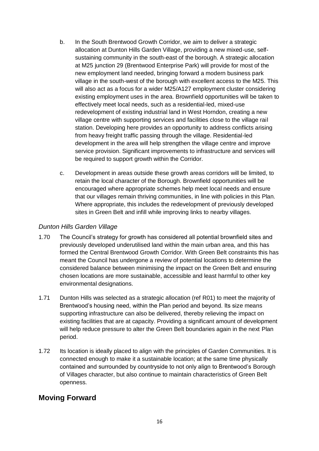- b. In the South Brentwood Growth Corridor, we aim to deliver a strategic allocation at Dunton Hills Garden Village, providing a new mixed-use, selfsustaining community in the south-east of the borough. A strategic allocation at M25 junction 29 (Brentwood Enterprise Park) will provide for most of the new employment land needed, bringing forward a modern business park village in the south-west of the borough with excellent access to the M25. This will also act as a focus for a wider M25/A127 employment cluster considering existing employment uses in the area. Brownfield opportunities will be taken to effectively meet local needs, such as a residential-led, mixed-use redevelopment of existing industrial land in West Horndon, creating a new village centre with supporting services and facilities close to the village rail station. Developing here provides an opportunity to address conflicts arising from heavy freight traffic passing through the village. Residential-led development in the area will help strengthen the village centre and improve service provision. Significant improvements to infrastructure and services will be required to support growth within the Corridor.
- c. Development in areas outside these growth areas corridors will be limited, to retain the local character of the Borough. Brownfield opportunities will be encouraged where appropriate schemes help meet local needs and ensure that our villages remain thriving communities, in line with policies in this Plan. Where appropriate, this includes the redevelopment of previously developed sites in Green Belt and infill while improving links to nearby villages.

#### *Dunton Hills Garden Village*

- 1.70 The Council's strategy for growth has considered all potential brownfield sites and previously developed underutilised land within the main urban area, and this has formed the Central Brentwood Growth Corridor. With Green Belt constraints this has meant the Council has undergone a review of potential locations to determine the considered balance between minimising the impact on the Green Belt and ensuring chosen locations are more sustainable, accessible and least harmful to other key environmental designations.
- 1.71 Dunton Hills was selected as a strategic allocation (ref R01) to meet the majority of Brentwood's housing need, within the Plan period and beyond. Its size means supporting infrastructure can also be delivered, thereby relieving the impact on existing facilities that are at capacity. Providing a significant amount of development will help reduce pressure to alter the Green Belt boundaries again in the next Plan period.
- 1.72 Its location is ideally placed to align with the principles of Garden Communities. It is connected enough to make it a sustainable location; at the same time physically contained and surrounded by countryside to not only align to Brentwood's Borough of Villages character, but also continue to maintain characteristics of Green Belt openness.

# **Moving Forward**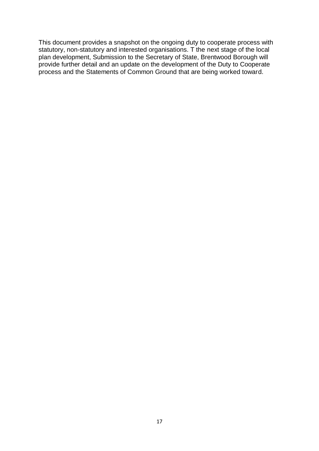This document provides a snapshot on the ongoing duty to cooperate process with statutory, non-statutory and interested organisations. T the next stage of the local plan development, Submission to the Secretary of State, Brentwood Borough will provide further detail and an update on the development of the Duty to Cooperate process and the Statements of Common Ground that are being worked toward.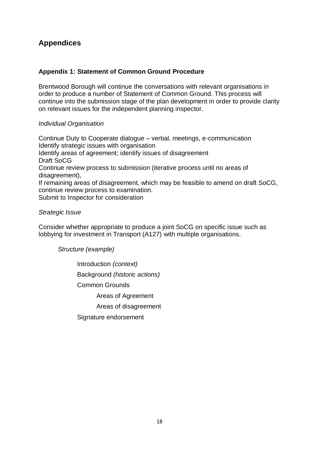# **Appendices**

#### **Appendix 1: Statement of Common Ground Procedure**

Brentwood Borough will continue the conversations with relevant organisations in order to produce a number of Statement of Common Ground. This process will continue into the submission stage of the plan development in order to provide clarity on relevant issues for the independent planning inspector.

#### *Individual Organisation*

Continue Duty to Cooperate dialogue – verbal, meetings, e-communication Identify strategic issues with organisation Identify areas of agreement; identify issues of disagreement Draft SoCG Continue review process to submission (iterative process until no areas of disagreement), If remaining areas of disagreement, which may be feasible to amend on draft SoCG, continue review process to examination. Submit to Inspector for consideration

#### *Strategic Issue*

Consider whether appropriate to produce a joint SoCG on specific issue such as lobbying for investment in Transport (A127) with multiple organisations.

*Structure (example)*

Introduction *(context)* Background *(historic actions)* Common Grounds Areas of Agreement Areas of disagreement Signature endorsement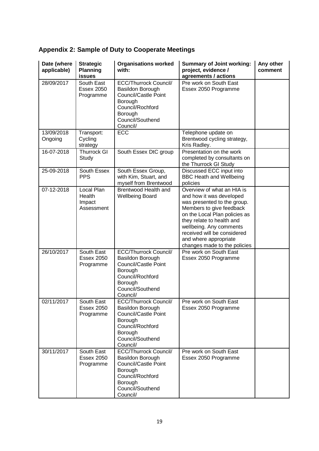|  |  |  |  | <b>Appendix 2: Sample of Duty to Cooperate Meetings</b> |  |
|--|--|--|--|---------------------------------------------------------|--|
|  |  |  |  |                                                         |  |

| Date (where<br>applicable) | <b>Strategic</b><br><b>Planning</b><br><b>issues</b> | <b>Organisations worked</b><br>with:                                                                                                                      | <b>Summary of Joint working:</b><br>project, evidence /<br>agreements / actions                                                                                                                                                                                                                    | Any other<br>comment |
|----------------------------|------------------------------------------------------|-----------------------------------------------------------------------------------------------------------------------------------------------------------|----------------------------------------------------------------------------------------------------------------------------------------------------------------------------------------------------------------------------------------------------------------------------------------------------|----------------------|
| 28/09/2017                 | South East<br><b>Essex 2050</b><br>Programme         | <b>ECC/Thurrock Council/</b><br>Basildon Borough<br><b>Council/Castle Point</b><br>Borough<br>Council/Rochford<br>Borough<br>Council/Southend<br>Council/ | Pre work on South East<br>Essex 2050 Programme                                                                                                                                                                                                                                                     |                      |
| 13/09/2018<br>Ongoing      | Transport:<br>Cycling<br>strategy                    | <b>ECC</b>                                                                                                                                                | Telephone update on<br>Brentwood cycling strategy,<br>Kris Radley.                                                                                                                                                                                                                                 |                      |
| 16-07-2018                 | <b>Thurrock GI</b><br>Study                          | South Essex DtC group                                                                                                                                     | Presentation on the work<br>completed by consultants on<br>the Thurrock GI Study                                                                                                                                                                                                                   |                      |
| 25-09-2018                 | South Essex<br><b>PPS</b>                            | South Essex Group,<br>with Kim, Stuart, and<br>myself from Brentwood                                                                                      | Discussed ECC input into<br><b>BBC Heath and Wellbeing</b><br>policies                                                                                                                                                                                                                             |                      |
| 07-12-2018                 | Local Plan<br>Health<br>Impact<br>Assessment         | Brentwood Health and<br><b>Wellbeing Board</b>                                                                                                            | Overview of what an HIA is<br>and how it was developed<br>was presented to the group.<br>Members to give feedback<br>on the Local Plan policies as<br>they relate to health and<br>wellbeing. Any comments<br>received will be considered<br>and where appropriate<br>changes made to the policies |                      |
| 26/10/2017                 | South East<br><b>Essex 2050</b><br>Programme         | <b>ECC/Thurrock Council/</b><br>Basildon Borough<br><b>Council/Castle Point</b><br>Borough<br>Council/Rochford<br>Borough<br>Council/Southend<br>Council/ | Pre work on South East<br>Essex 2050 Programme                                                                                                                                                                                                                                                     |                      |
| 02/11/2017                 | South East<br><b>Essex 2050</b><br>Programme         | ECC/Thurrock Council/<br>Basildon Borough<br><b>Council/Castle Point</b><br>Borough<br>Council/Rochford<br>Borough<br>Council/Southend<br>Council/        | Pre work on South East<br>Essex 2050 Programme                                                                                                                                                                                                                                                     |                      |
| 30/11/2017                 | South East<br><b>Essex 2050</b><br>Programme         | ECC/Thurrock Council/<br>Basildon Borough<br>Council/Castle Point<br>Borough<br>Council/Rochford<br>Borough<br>Council/Southend<br>Council/               | Pre work on South East<br>Essex 2050 Programme                                                                                                                                                                                                                                                     |                      |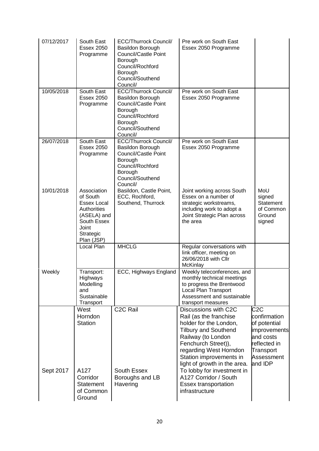| 07/12/2017 | South East<br><b>Essex 2050</b><br>Programme                                                                                   | <b>ECC/Thurrock Council/</b><br>Basildon Borough<br><b>Council/Castle Point</b><br>Borough<br>Council/Rochford<br>Borough<br>Council/Southend<br>Council/        | Pre work on South East<br>Essex 2050 Programme                                                                                                                                                                                                                                                                                                    |                                                                                                                                     |
|------------|--------------------------------------------------------------------------------------------------------------------------------|------------------------------------------------------------------------------------------------------------------------------------------------------------------|---------------------------------------------------------------------------------------------------------------------------------------------------------------------------------------------------------------------------------------------------------------------------------------------------------------------------------------------------|-------------------------------------------------------------------------------------------------------------------------------------|
| 10/05/2018 | South East<br><b>Essex 2050</b><br>Programme                                                                                   | ECC/Thurrock Council/<br>Basildon Borough<br><b>Council/Castle Point</b><br>Borough<br>Council/Rochford<br>Borough<br>Council/Southend<br>Council/               | Pre work on South East<br>Essex 2050 Programme                                                                                                                                                                                                                                                                                                    |                                                                                                                                     |
| 26/07/2018 | South East<br><b>Essex 2050</b><br>Programme                                                                                   | <b>ECC/Thurrock Council/</b><br><b>Basildon Borough</b><br><b>Council/Castle Point</b><br>Borough<br>Council/Rochford<br>Borough<br>Council/Southend<br>Council/ | Pre work on South East<br>Essex 2050 Programme                                                                                                                                                                                                                                                                                                    |                                                                                                                                     |
| 10/01/2018 | Association<br>of South<br>Essex Local<br><b>Authorities</b><br>(ASELA) and<br>South Essex<br>Joint<br>Strategic<br>Plan (JSP) | Basildon, Castle Point,<br>ECC, Rochford,<br>Southend, Thurrock                                                                                                  | Joint working across South<br>Essex on a number of<br>strategic workstreams,<br>including work to adopt a<br>Joint Strategic Plan across<br>the area                                                                                                                                                                                              | MoU<br>signed<br><b>Statement</b><br>of Common<br>Ground<br>signed                                                                  |
|            | Local Plan                                                                                                                     | <b>MHCLG</b>                                                                                                                                                     | Regular conversations with<br>link officer, meeting on<br>26/06/2018 with Cllr<br>McKinlay                                                                                                                                                                                                                                                        |                                                                                                                                     |
| Weekly     | Transport:<br>Highways<br>Modelling<br>and<br>Sustainable<br>Transport                                                         | ECC, Highways England                                                                                                                                            | Weekly teleconferences, and<br>monthly technical meetings<br>to progress the Brentwood<br>Local Plan Transport<br>Assessment and sustainable<br>transport measures                                                                                                                                                                                |                                                                                                                                     |
| Sept 2017  | West<br>Horndon<br><b>Station</b><br>A127<br>Corridor<br><b>Statement</b><br>of Common<br>Ground                               | C <sub>2</sub> C Rail<br>South Essex<br>Boroughs and LB<br>Havering                                                                                              | Discussions with C2C<br>Rail (as the franchise<br>holder for the London,<br><b>Tilbury and Southend</b><br>Railway (to London<br>Fenchurch Street)),<br>regarding West Horndon<br>Station improvements in<br>light of growth in the area.<br>To lobby for investment in<br>A127 Corridor / South<br><b>Essex transportation</b><br>infrastructure | C <sub>2</sub> C<br>confirmation<br>of potential<br>improvements<br>and costs<br>reflected in<br>Transport<br>Assessment<br>and IDP |